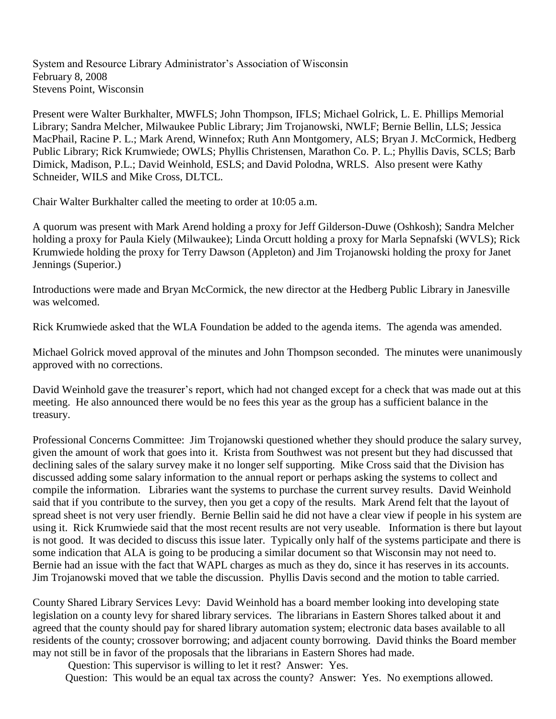System and Resource Library Administrator's Association of Wisconsin February 8, 2008 Stevens Point, Wisconsin

Present were Walter Burkhalter, MWFLS; John Thompson, IFLS; Michael Golrick, L. E. Phillips Memorial Library; Sandra Melcher, Milwaukee Public Library; Jim Trojanowski, NWLF; Bernie Bellin, LLS; Jessica MacPhail, Racine P. L.; Mark Arend, Winnefox; Ruth Ann Montgomery, ALS; Bryan J. McCormick, Hedberg Public Library; Rick Krumwiede; OWLS; Phyllis Christensen, Marathon Co. P. L.; Phyllis Davis, SCLS; Barb Dimick, Madison, P.L.; David Weinhold, ESLS; and David Polodna, WRLS. Also present were Kathy Schneider, WILS and Mike Cross, DLTCL.

Chair Walter Burkhalter called the meeting to order at 10:05 a.m.

A quorum was present with Mark Arend holding a proxy for Jeff Gilderson-Duwe (Oshkosh); Sandra Melcher holding a proxy for Paula Kiely (Milwaukee); Linda Orcutt holding a proxy for Marla Sepnafski (WVLS); Rick Krumwiede holding the proxy for Terry Dawson (Appleton) and Jim Trojanowski holding the proxy for Janet Jennings (Superior.)

Introductions were made and Bryan McCormick, the new director at the Hedberg Public Library in Janesville was welcomed.

Rick Krumwiede asked that the WLA Foundation be added to the agenda items. The agenda was amended.

Michael Golrick moved approval of the minutes and John Thompson seconded. The minutes were unanimously approved with no corrections.

David Weinhold gave the treasurer's report, which had not changed except for a check that was made out at this meeting. He also announced there would be no fees this year as the group has a sufficient balance in the treasury.

Professional Concerns Committee: Jim Trojanowski questioned whether they should produce the salary survey, given the amount of work that goes into it. Krista from Southwest was not present but they had discussed that declining sales of the salary survey make it no longer self supporting. Mike Cross said that the Division has discussed adding some salary information to the annual report or perhaps asking the systems to collect and compile the information. Libraries want the systems to purchase the current survey results. David Weinhold said that if you contribute to the survey, then you get a copy of the results. Mark Arend felt that the layout of spread sheet is not very user friendly. Bernie Bellin said he did not have a clear view if people in his system are using it. Rick Krumwiede said that the most recent results are not very useable. Information is there but layout is not good. It was decided to discuss this issue later. Typically only half of the systems participate and there is some indication that ALA is going to be producing a similar document so that Wisconsin may not need to. Bernie had an issue with the fact that WAPL charges as much as they do, since it has reserves in its accounts. Jim Trojanowski moved that we table the discussion. Phyllis Davis second and the motion to table carried.

County Shared Library Services Levy: David Weinhold has a board member looking into developing state legislation on a county levy for shared library services. The librarians in Eastern Shores talked about it and agreed that the county should pay for shared library automation system; electronic data bases available to all residents of the county; crossover borrowing; and adjacent county borrowing. David thinks the Board member may not still be in favor of the proposals that the librarians in Eastern Shores had made.

Question: This supervisor is willing to let it rest? Answer: Yes.

Question: This would be an equal tax across the county? Answer: Yes. No exemptions allowed.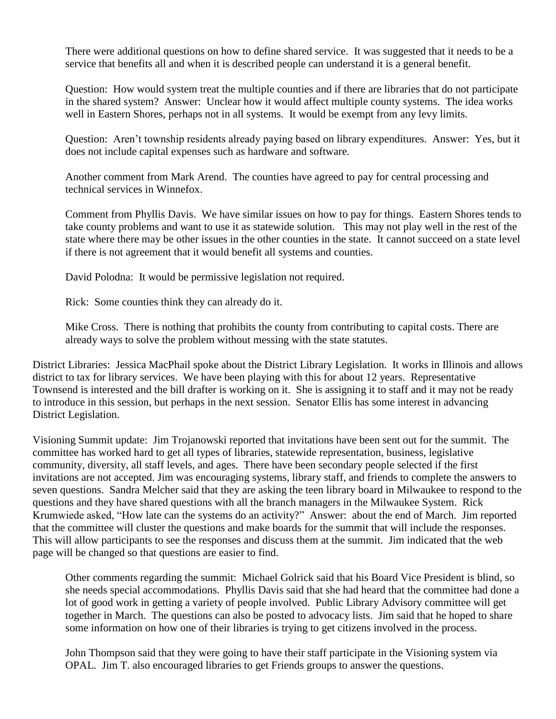There were additional questions on how to define shared service. It was suggested that it needs to be a service that benefits all and when it is described people can understand it is a general benefit.

Question: How would system treat the multiple counties and if there are libraries that do not participate in the shared system? Answer: Unclear how it would affect multiple county systems. The idea works well in Eastern Shores, perhaps not in all systems. It would be exempt from any levy limits.

Question: Aren't township residents already paying based on library expenditures. Answer: Yes, but it does not include capital expenses such as hardware and software.

Another comment from Mark Arend. The counties have agreed to pay for central processing and technical services in Winnefox.

Comment from Phyllis Davis. We have similar issues on how to pay for things. Eastern Shores tends to take county problems and want to use it as statewide solution. This may not play well in the rest of the state where there may be other issues in the other counties in the state. It cannot succeed on a state level if there is not agreement that it would benefit all systems and counties.

David Polodna: It would be permissive legislation not required.

Rick: Some counties think they can already do it.

Mike Cross. There is nothing that prohibits the county from contributing to capital costs. There are already ways to solve the problem without messing with the state statutes.

District Libraries: Jessica MacPhail spoke about the District Library Legislation. It works in Illinois and allows district to tax for library services. We have been playing with this for about 12 years. Representative Townsend is interested and the bill drafter is working on it. She is assigning it to staff and it may not be ready to introduce in this session, but perhaps in the next session. Senator Ellis has some interest in advancing District Legislation.

Visioning Summit update: Jim Trojanowski reported that invitations have been sent out for the summit. The committee has worked hard to get all types of libraries, statewide representation, business, legislative community, diversity, all staff levels, and ages. There have been secondary people selected if the first invitations are not accepted. Jim was encouraging systems, library staff, and friends to complete the answers to seven questions. Sandra Melcher said that they are asking the teen library board in Milwaukee to respond to the questions and they have shared questions with all the branch managers in the Milwaukee System. Rick Krumwiede asked, "How late can the systems do an activity?" Answer: about the end of March. Jim reported that the committee will cluster the questions and make boards for the summit that will include the responses. This will allow participants to see the responses and discuss them at the summit. Jim indicated that the web page will be changed so that questions are easier to find.

Other comments regarding the summit: Michael Golrick said that his Board Vice President is blind, so she needs special accommodations. Phyllis Davis said that she had heard that the committee had done a lot of good work in getting a variety of people involved. Public Library Advisory committee will get together in March. The questions can also be posted to advocacy lists. Jim said that he hoped to share some information on how one of their libraries is trying to get citizens involved in the process.

John Thompson said that they were going to have their staff participate in the Visioning system via OPAL. Jim T. also encouraged libraries to get Friends groups to answer the questions.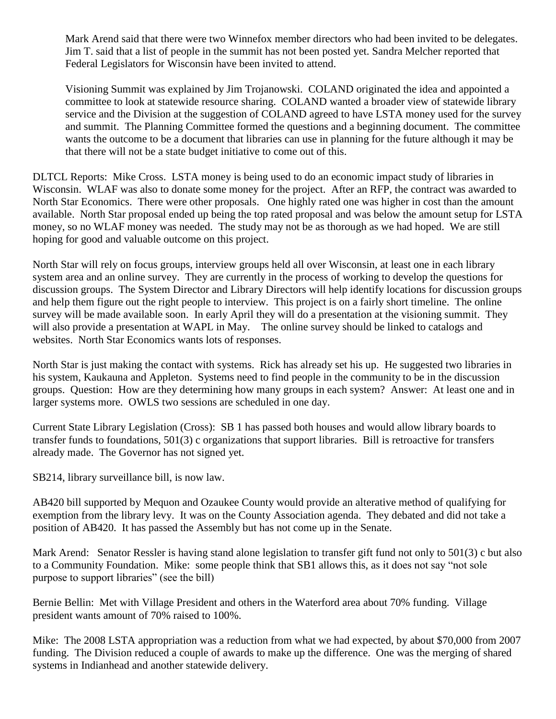Mark Arend said that there were two Winnefox member directors who had been invited to be delegates. Jim T. said that a list of people in the summit has not been posted yet. Sandra Melcher reported that Federal Legislators for Wisconsin have been invited to attend.

Visioning Summit was explained by Jim Trojanowski. COLAND originated the idea and appointed a committee to look at statewide resource sharing. COLAND wanted a broader view of statewide library service and the Division at the suggestion of COLAND agreed to have LSTA money used for the survey and summit. The Planning Committee formed the questions and a beginning document. The committee wants the outcome to be a document that libraries can use in planning for the future although it may be that there will not be a state budget initiative to come out of this.

DLTCL Reports: Mike Cross. LSTA money is being used to do an economic impact study of libraries in Wisconsin. WLAF was also to donate some money for the project. After an RFP, the contract was awarded to North Star Economics. There were other proposals. One highly rated one was higher in cost than the amount available. North Star proposal ended up being the top rated proposal and was below the amount setup for LSTA money, so no WLAF money was needed. The study may not be as thorough as we had hoped. We are still hoping for good and valuable outcome on this project.

North Star will rely on focus groups, interview groups held all over Wisconsin, at least one in each library system area and an online survey. They are currently in the process of working to develop the questions for discussion groups. The System Director and Library Directors will help identify locations for discussion groups and help them figure out the right people to interview. This project is on a fairly short timeline. The online survey will be made available soon. In early April they will do a presentation at the visioning summit. They will also provide a presentation at WAPL in May. The online survey should be linked to catalogs and websites. North Star Economics wants lots of responses.

North Star is just making the contact with systems. Rick has already set his up. He suggested two libraries in his system, Kaukauna and Appleton. Systems need to find people in the community to be in the discussion groups. Question: How are they determining how many groups in each system? Answer: At least one and in larger systems more. OWLS two sessions are scheduled in one day.

Current State Library Legislation (Cross): SB 1 has passed both houses and would allow library boards to transfer funds to foundations, 501(3) c organizations that support libraries. Bill is retroactive for transfers already made. The Governor has not signed yet.

SB214, library surveillance bill, is now law.

AB420 bill supported by Mequon and Ozaukee County would provide an alterative method of qualifying for exemption from the library levy. It was on the County Association agenda. They debated and did not take a position of AB420. It has passed the Assembly but has not come up in the Senate.

Mark Arend: Senator Ressler is having stand alone legislation to transfer gift fund not only to 501(3) c but also to a Community Foundation. Mike: some people think that SB1 allows this, as it does not say "not sole purpose to support libraries" (see the bill)

Bernie Bellin: Met with Village President and others in the Waterford area about 70% funding. Village president wants amount of 70% raised to 100%.

Mike: The 2008 LSTA appropriation was a reduction from what we had expected, by about \$70,000 from 2007 funding. The Division reduced a couple of awards to make up the difference. One was the merging of shared systems in Indianhead and another statewide delivery.